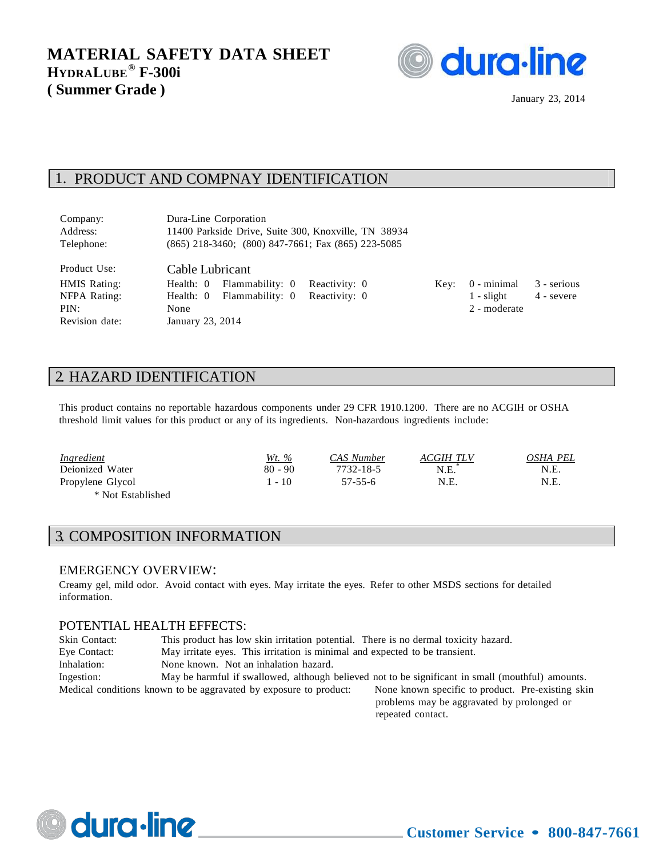

January 23, 2014

### 1. PRODUCT AND COMPNAY IDENTIFICATION

| Company:            | Dura-Line Corporation                                    |  |                    |             |
|---------------------|----------------------------------------------------------|--|--------------------|-------------|
| Address:            | 11400 Parkside Drive, Suite 300, Knoxville, TN 38934     |  |                    |             |
| Telephone:          | $(865)$ 218-3460; $(800)$ 847-7661; Fax $(865)$ 223-5085 |  |                    |             |
| Product Use:        | Cable Lubricant                                          |  |                    |             |
| <b>HMIS Rating:</b> | Flammability: 0 Reactivity: 0<br>Health: 0               |  | $Key: 0 - minimal$ | 3 - serious |
| NFPA Rating:        | Flammability: 0 Reactivity: 0<br>Health: 0               |  | $1$ - slight       | 4 - severe  |

Key:  $0$  - minimal  $3$  - serious PIN: None 2 - moderate

### 2. HAZARD IDENTIFICATION

Revision date: January 23, 2014

This product contains no reportable hazardous components under 29 CFR 1910.1200. There are no ACGIH or OSHA threshold limit values for this product or any of its ingredients. Non-hazardous ingredients include:

| <i><u><b>Ingredient</b></u></i> | <u>Wt. %</u> | CAS Number | ACGIH TLV | OSHA PEL |
|---------------------------------|--------------|------------|-----------|----------|
| Deionized Water                 | $80 - 90$    | 7732-18-5  | N.E.      | N.E.     |
| Propylene Glycol                | $-10$        | 57-55-6    | N.E.      | N.E.     |
| * Not Established               |              |            |           |          |

## 3. COMPOSITION INFORMATION

#### EMERGENCY OVERVIEW:

Creamy gel, mild odor. Avoid contact with eyes. May irritate the eyes. Refer to other MSDS sections for detailed information.

#### POTENTIAL HEALTH EFFECTS:

| Skin Contact: | This product has low skin irritation potential. There is no dermal toxicity hazard. |                                                                                                   |
|---------------|-------------------------------------------------------------------------------------|---------------------------------------------------------------------------------------------------|
| Eye Contact:  | May irritate eyes. This irritation is minimal and expected to be transient.         |                                                                                                   |
| Inhalation:   | None known. Not an inhalation hazard.                                               |                                                                                                   |
| Ingestion:    |                                                                                     | May be harmful if swallowed, although believed not to be significant in small (mouthful) amounts. |
|               | Medical conditions known to be aggravated by exposure to product:                   | None known specific to product. Pre-existing skin                                                 |
|               |                                                                                     | problems may be aggravated by prolonged or                                                        |
|               |                                                                                     | repeated contact.                                                                                 |

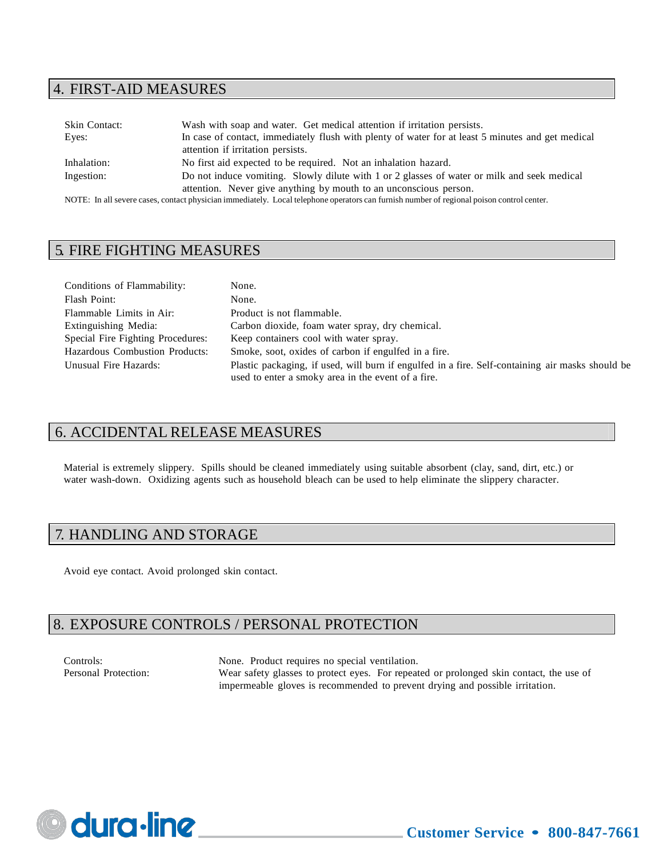### 4. FIRST-AID MEASURES

| Skin Contact: | Wash with soap and water. Get medical attention if irritation persists.                                                                   |
|---------------|-------------------------------------------------------------------------------------------------------------------------------------------|
| Eyes:         | In case of contact, immediately flush with plenty of water for at least 5 minutes and get medical                                         |
|               | attention if irritation persists.                                                                                                         |
| Inhalation:   | No first aid expected to be required. Not an inhalation hazard.                                                                           |
| Ingestion:    | Do not induce vomiting. Slowly dilute with 1 or 2 glasses of water or milk and seek medical                                               |
|               | attention. Never give anything by mouth to an unconscious person.                                                                         |
|               | NOTE: In all severe cases, contact physician immediately. Local telephone operators can furnish number of regional poison control center. |

## 5. FIRE FIGHTING MEASURES

| Conditions of Flammability:           | None.                                                                                            |
|---------------------------------------|--------------------------------------------------------------------------------------------------|
| Flash Point:                          | None.                                                                                            |
| Flammable Limits in Air:              | Product is not flammable.                                                                        |
| Extinguishing Media:                  | Carbon dioxide, foam water spray, dry chemical.                                                  |
| Special Fire Fighting Procedures:     | Keep containers cool with water spray.                                                           |
| <b>Hazardous Combustion Products:</b> | Smoke, soot, oxides of carbon if engulfed in a fire.                                             |
| Unusual Fire Hazards:                 | Plastic packaging, if used, will burn if engulfed in a fire. Self-containing air masks should be |
|                                       | used to enter a smoky area in the event of a fire.                                               |

# 6. ACCIDENTAL RELEASE MEASURES

Material is extremely slippery. Spills should be cleaned immediately using suitable absorbent (clay, sand, dirt, etc.) or water wash-down. Oxidizing agents such as household bleach can be used to help eliminate the slippery character.

## 7. HANDLING AND STORAGE

Avoid eye contact. Avoid prolonged skin contact.

# 8. EXPOSURE CONTROLS / PERSONAL PROTECTION

Controls: None. Product requires no special ventilation. Personal Protection: Wear safety glasses to protect eyes. For repeated or prolonged skin contact, the use of impermeable gloves is recommended to prevent drying and possible irritation.

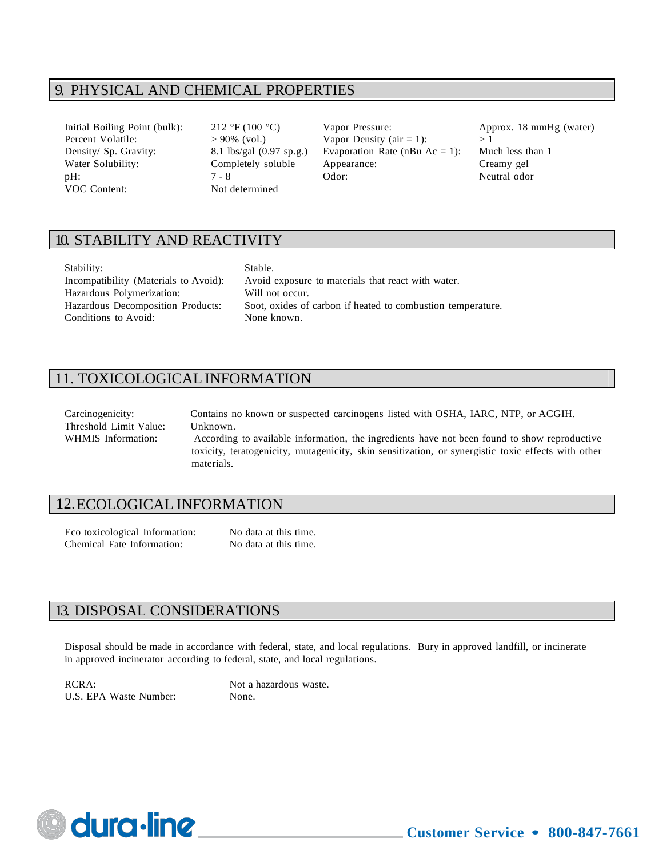# 9. PHYSICAL AND CHEMICAL PROPERTIES

VOC Content: Not determined

Initial Boiling Point (bulk): 212 °F (100 °C) Vapor Pressure: Approx. 18 mmHg (water) Percent Volatile:  $> 90\%$  (vol.) Vapor Density (air = 1):  $> 1$ Density/ Sp. Gravity: 8.1 lbs/gal (0.97 sp.g.) Evaporation Rate (nBu Ac = 1): Much less than 1 Water Solubility: Completely soluble Appearance: Creamy gel pH:  $7 - 8$  Odor: Neutral odor

## 10. STABILITY AND REACTIVITY

| Stability:                            | Stable. |
|---------------------------------------|---------|
| Incompatibility (Materials to Avoid): | Avoid   |
| Hazardous Polymerization:             | Will no |
| Hazardous Decomposition Products:     | Soot. c |
| Conditions to Avoid:                  | None k  |

bid exposure to materials that react with water. I not occur. t, oxides of carbon if heated to combustion temperature. e known.

# 11. TOXICOLOGICAL INFORMATION

| Carcinogenicity:       | Contains no known or suspected carcinogens listed with OSHA, IARC, NTP, or ACGIH.                   |
|------------------------|-----------------------------------------------------------------------------------------------------|
| Threshold Limit Value: | Unknown.                                                                                            |
| WHMIS Information:     | According to available information, the ingredients have not been found to show reproductive        |
|                        | toxicity, teratogenicity, mutagenicity, skin sensitization, or synergistic toxic effects with other |
|                        | materials.                                                                                          |

### 12.ECOLOGICAL INFORMATION

Eco toxicological Information: No data at this time. Chemical Fate Information: No data at this time.

### 13. DISPOSAL CONSIDERATIONS

Disposal should be made in accordance with federal, state, and local regulations. Bury in approved landfill, or incinerate in approved incinerator according to federal, state, and local regulations.

RCRA: Not a hazardous waste. U.S. EPA Waste Number: None.